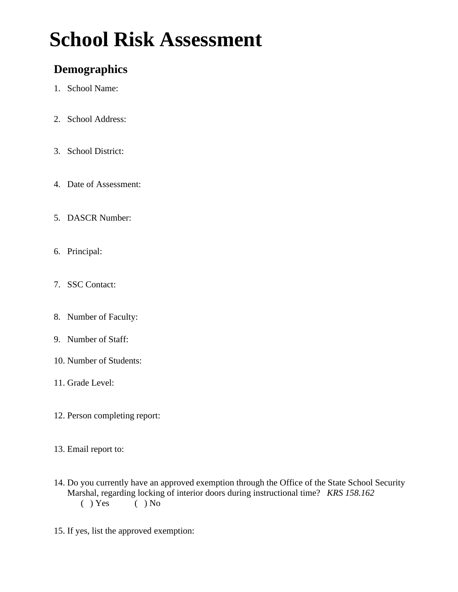# **School Risk Assessment**

### **Demographics**

- 1. School Name:
- 2. School Address:
- 3. School District:
- 4. Date of Assessment:
- 5. DASCR Number:
- 6. Principal:
- 7. SSC Contact:
- 8. Number of Faculty:
- 9. Number of Staff:
- 10. Number of Students:
- 11. Grade Level:
- 12. Person completing report:
- 13. Email report to:
- 14. Do you currently have an approved exemption through the Office of the State School Security Marshal, regarding locking of interior doors during instructional time? *KRS 158.162* () Yes () No  $()$  No
- 15. If yes, list the approved exemption: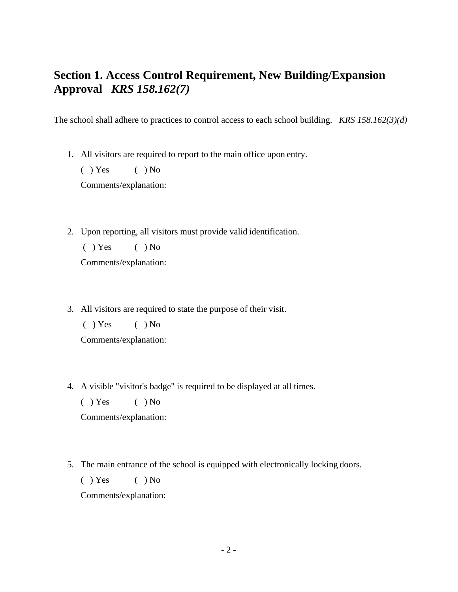### **Section 1. Access Control Requirement, New Building/Expansion Approval** *KRS 158.162(7)*

The school shall adhere to practices to control access to each school building. *KRS 158.162(3)(d)*

1. All visitors are required to report to the main office upon entry.

 $( )$  Yes  $( )$  No Comments/explanation:

- 
- 2. Upon reporting, all visitors must provide valid identification.

 $( )$  Yes  $( )$  No

Comments/explanation:

3. All visitors are required to state the purpose of their visit.

 $( )$  Yes  $( )$  No

Comments/explanation:

- 4. A visible "visitor's badge" is required to be displayed at all times.
	- $( )$  Yes  $( )$  No

Comments/explanation:

5. The main entrance of the school is equipped with electronically locking doors.

 $( )$  Yes  $( )$  No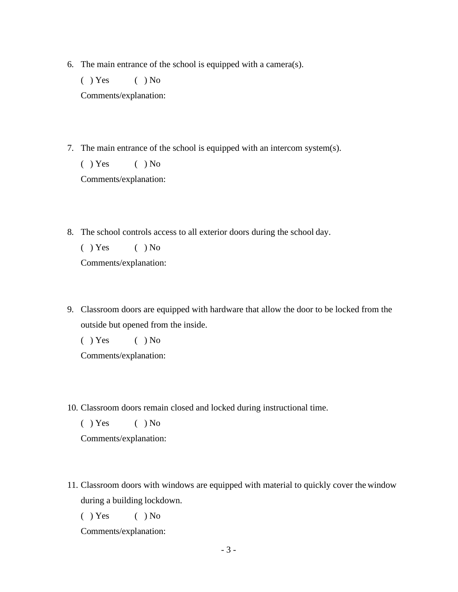6. The main entrance of the school is equipped with a camera(s).

 $( )$  Yes  $( )$  No Comments/explanation:

7. The main entrance of the school is equipped with an intercom system(s).

 $( )$  Yes  $( )$  No Comments/explanation:

8. The school controls access to all exterior doors during the school day.

 $( )$  Yes  $( )$  No Comments/explanation:

9. Classroom doors are equipped with hardware that allow the door to be locked from the outside but opened from the inside.

 $( )$  Yes  $( )$  No

Comments/explanation:

10. Classroom doors remain closed and locked during instructional time.

 $( )$  Yes  $( )$  No

Comments/explanation:

11. Classroom doors with windows are equipped with material to quickly cover the window during a building lockdown.

 $( )$  Yes  $( )$  No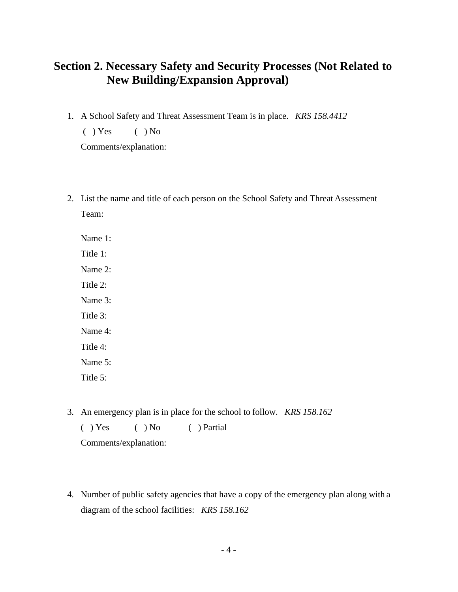### **Section 2. Necessary Safety and Security Processes (Not Related to New Building/Expansion Approval)**

- 1. A School Safety and Threat Assessment Team is in place. *KRS 158.4412*
	- $( )$  Yes  $( )$  No

Comments/explanation:

2. List the name and title of each person on the School Safety and Threat Assessment Team:

Name 1: Title 1: Name 2: Title 2: Name 3: Title 3: Name 4: Title 4: Name 5: Title 5:

3. An emergency plan is in place for the school to follow. *KRS 158.162*

( ) Yes ( ) No ( ) Partial Comments/explanation:

4. Number of public safety agencies that have a copy of the emergency plan along with a diagram of the school facilities: *KRS 158.162*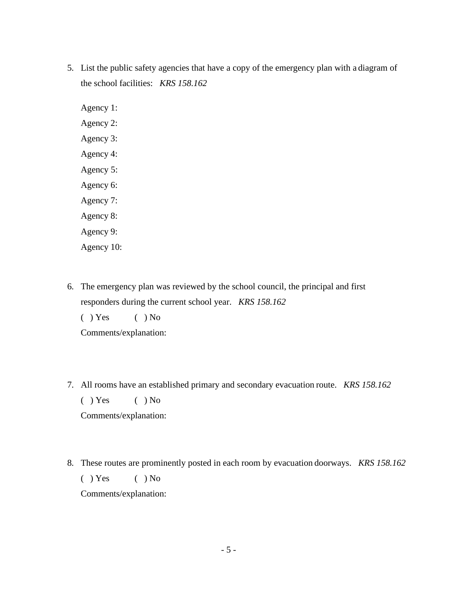5. List the public safety agencies that have a copy of the emergency plan with a diagram of the school facilities: *KRS 158.162*

Agency 1: Agency 2: Agency 3: Agency 4: Agency 5: Agency 6: Agency 7: Agency 8: Agency 9: Agency 10:

6. The emergency plan was reviewed by the school council, the principal and first responders during the current school year. *KRS 158.162*

 $( )$  Yes  $( )$  No

Comments/explanation:

7. All rooms have an established primary and secondary evacuation route. *KRS 158.162*

 $( )$  Yes  $( )$  No

Comments/explanation:

8. These routes are prominently posted in each room by evacuation doorways. *KRS 158.162*  $( )$  Yes  $( )$  No Comments/explanation: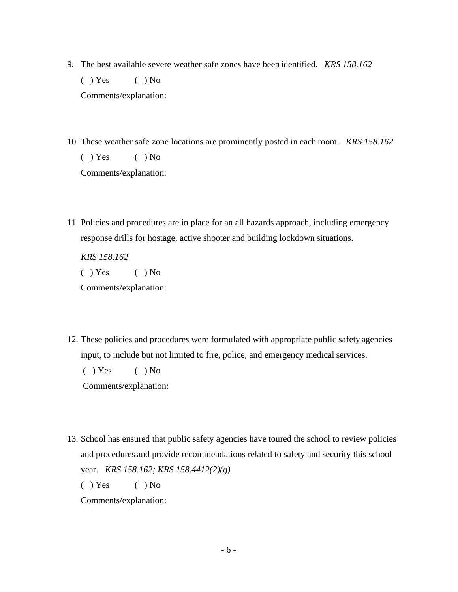- 9. The best available severe weather safe zones have been identified. *KRS 158.162*  $( )$  Yes  $( )$  No Comments/explanation:
- 10. These weather safe zone locations are prominently posted in each room. *KRS 158.162*  $( )$  Yes  $( )$  No Comments/explanation:
- 11. Policies and procedures are in place for an all hazards approach, including emergency response drills for hostage, active shooter and building lockdown situations.

*KRS 158.162*  $( )$  Yes  $( )$  No Comments/explanation:

12. These policies and procedures were formulated with appropriate public safety agencies input, to include but not limited to fire, police, and emergency medical services.

 $( )$  Yes  $( )$  No

Comments/explanation:

13. School has ensured that public safety agencies have toured the school to review policies and procedures and provide recommendations related to safety and security this school year. *KRS 158.162; KRS 158.4412(2)(g)*

 $( )$  Yes  $( )$  No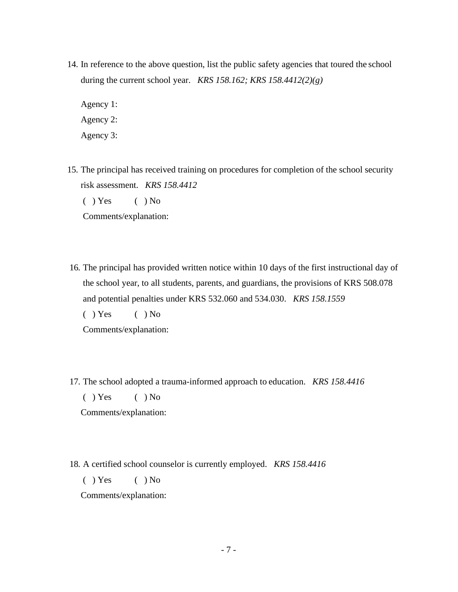14. In reference to the above question, list the public safety agencies that toured the school during the current school year. *KRS 158.162; KRS 158.4412(2)(g)*

Agency 1: Agency 2: Agency 3:

- 15. The principal has received training on procedures for completion of the school security risk assessment. *KRS 158.4412*  $( )$  Yes  $( )$  No Comments/explanation:
- 16. The principal has provided written notice within 10 days of the first instructional day of the school year, to all students, parents, and guardians, the provisions of KRS 508.078 and potential penalties under KRS 532.060 and 534.030. *KRS 158.1559*

 $( )$  Yes  $( )$  No

Comments/explanation:

17. The school adopted a trauma-informed approach to education. *KRS 158.4416*

 $( )$  Yes  $( )$  No

Comments/explanation:

18. A certified school counselor is currently employed. *KRS 158.4416*

 $( )$  Yes  $( )$  No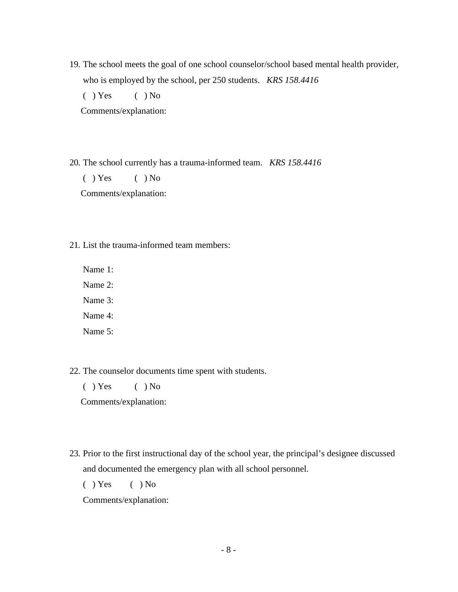19. The school meets the goal of one school counselor/school based mental health provider, who is employed by the school, per 250 students. *KRS 158.4416*

 $( )$  Yes  $( )$  No

Comments/explanation:

20. The school currently has a trauma-informed team. *KRS 158.4416*

 $( )$  Yes  $( )$  No Comments/explanation:

21. List the trauma-informed team members:

Name 1:

Name 2:

Name 3:

Name 4:

Name 5:

22. The counselor documents time spent with students.

 $( )$  Yes  $( )$  No

Comments/explanation:

23. Prior to the first instructional day of the school year, the principal's designee discussed and documented the emergency plan with all school personnel.

 $( )$  Yes  $( )$  No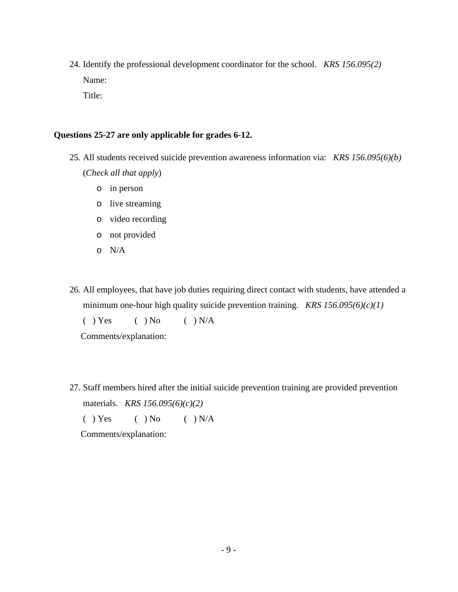24. Identify the professional development coordinator for the school. *KRS 156.095(2)* Name: Title:

#### **Questions 25-27 are only applicable for grades 6-12.**

- 25. All students received suicide prevention awareness information via: *KRS 156.095(6)(b)* (*Check all that apply*)
	- o in person
	- o live streaming
	- o video recording
	- o not provided
	- o N/A
- 26. All employees, that have job duties requiring direct contact with students, have attended a minimum one-hour high quality suicide prevention training. *KRS 156.095(6)(c)(1)*

 $( )$  Yes  $( )$  No  $( )$  N/A

Comments/explanation:

27. Staff members hired after the initial suicide prevention training are provided prevention materials. *KRS 156.095(6)(c)(2)*

 $( )$  Yes  $( )$  No  $( )$  N/A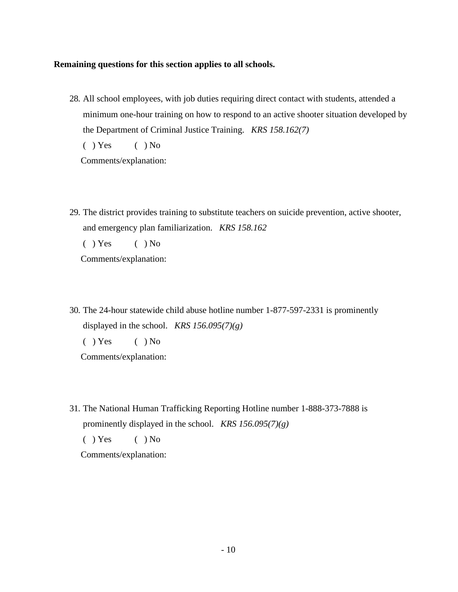#### **Remaining questions for this section applies to all schools.**

28. All school employees, with job duties requiring direct contact with students, attended a minimum one-hour training on how to respond to an active shooter situation developed by the Department of Criminal Justice Training. *KRS 158.162(7)*  $( )$  Yes  $( )$  No

Comments/explanation:

- 29. The district provides training to substitute teachers on suicide prevention, active shooter, and emergency plan familiarization. *KRS 158.162*  $( )$  Yes  $( )$  No Comments/explanation:
- 30. The 24-hour statewide child abuse hotline number 1-877-597-2331 is prominently displayed in the school. *KRS 156.095(7)(g)*

 $( )$  Yes  $( )$  No

Comments/explanation:

31. The National Human Trafficking Reporting Hotline number 1-888-373-7888 is prominently displayed in the school. *KRS 156.095(7)(g)*

 $( )$  Yes  $( )$  No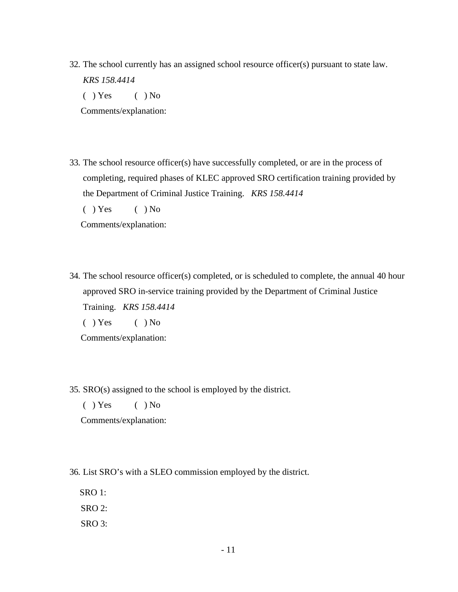32. The school currently has an assigned school resource officer(s) pursuant to state law. *KRS 158.4414*  $( )$  Yes  $( )$  No

Comments/explanation:

33. The school resource officer(s) have successfully completed, or are in the process of completing, required phases of KLEC approved SRO certification training provided by the Department of Criminal Justice Training. *KRS 158.4414*

 $( )$  Yes  $( )$  No

Comments/explanation:

34. The school resource officer(s) completed, or is scheduled to complete, the annual 40 hour approved SRO in-service training provided by the Department of Criminal Justice Training. *KRS 158.4414*

 $( )$  Yes  $( )$  No

Comments/explanation:

35. SRO(s) assigned to the school is employed by the district.

 $( )$  Yes  $( )$  No

Comments/explanation:

36. List SRO's with a SLEO commission employed by the district.

SRO 1:

SRO 2:

SRO 3: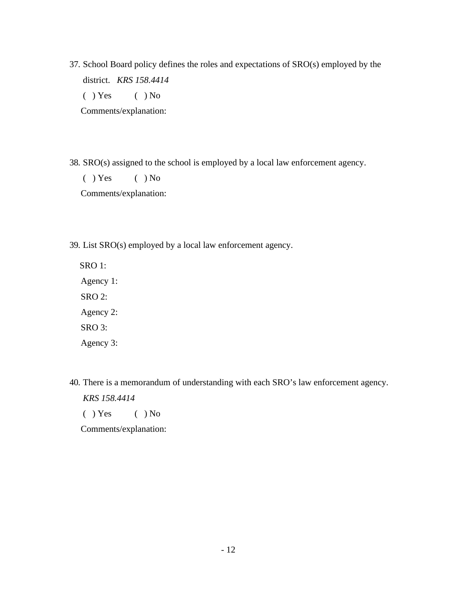37. School Board policy defines the roles and expectations of SRO(s) employed by the district. *KRS 158.4414*

 $( )$  Yes  $( )$  No

Comments/explanation:

38. SRO(s) assigned to the school is employed by a local law enforcement agency.

 $( )$  Yes  $( )$  No Comments/explanation:

39. List SRO(s) employed by a local law enforcement agency.

SRO 1: Agency 1: SRO 2: Agency 2: SRO 3: Agency 3:

- 40. There is a memorandum of understanding with each SRO's law enforcement agency. *KRS 158.4414*
	- $( )$  Yes  $( )$  No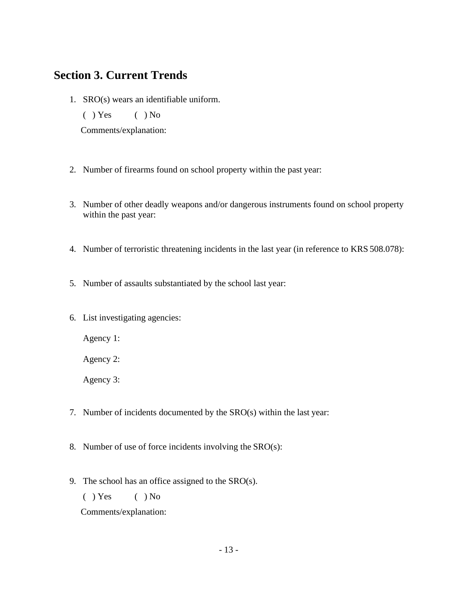### **Section 3. Current Trends**

1. SRO(s) wears an identifiable uniform.

 $( )$  Yes  $( )$  No

Comments/explanation:

- 2. Number of firearms found on school property within the past year:
- 3. Number of other deadly weapons and/or dangerous instruments found on school property within the past year:
- 4. Number of terroristic threatening incidents in the last year (in reference to KRS 508.078):
- 5. Number of assaults substantiated by the school last year:
- 6. List investigating agencies:

Agency 1:

Agency 2:

Agency 3:

- 7. Number of incidents documented by the SRO(s) within the last year:
- 8. Number of use of force incidents involving the SRO(s):
- 9. The school has an office assigned to the SRO(s).
	- $( )$  Yes  $( )$  No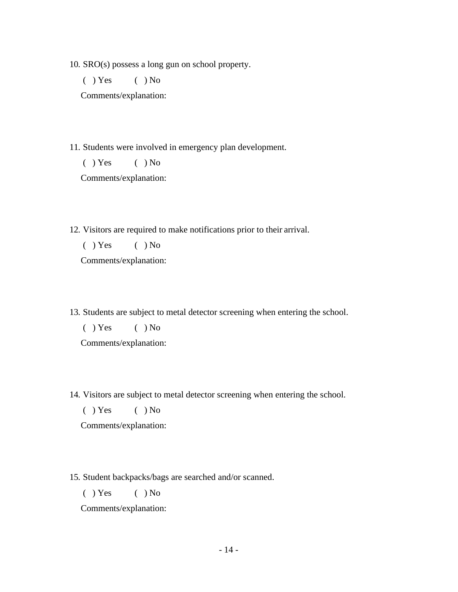10. SRO(s) possess a long gun on school property.

 $( )$  Yes  $( )$  No

Comments/explanation:

11. Students were involved in emergency plan development.

 $( )$  Yes  $( )$  No

Comments/explanation:

12. Visitors are required to make notifications prior to their arrival.

 $( )$  Yes  $( )$  No

Comments/explanation:

13. Students are subject to metal detector screening when entering the school.

 $( )$  Yes  $( )$  No Comments/explanation:

14. Visitors are subject to metal detector screening when entering the school.

 $( )$  Yes  $( )$  No

Comments/explanation:

15. Student backpacks/bags are searched and/or scanned.

 $( )$  Yes  $( )$  No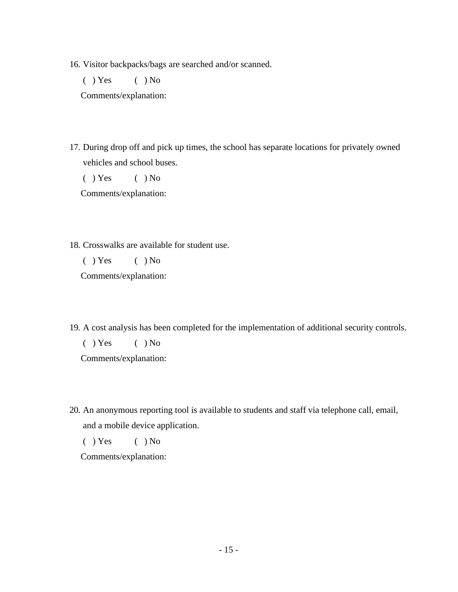16. Visitor backpacks/bags are searched and/or scanned.

 $( )$  Yes  $( )$  No

Comments/explanation:

17. During drop off and pick up times, the school has separate locations for privately owned vehicles and school buses.

 $( )$  Yes  $( )$  No

Comments/explanation:

18. Crosswalks are available for student use.

 $( )$  Yes  $( )$  No

Comments/explanation:

19. A cost analysis has been completed for the implementation of additional security controls.

 $( )$  Yes  $( )$  No

Comments/explanation:

20. An anonymous reporting tool is available to students and staff via telephone call, email, and a mobile device application.

 $( )$  Yes  $( )$  No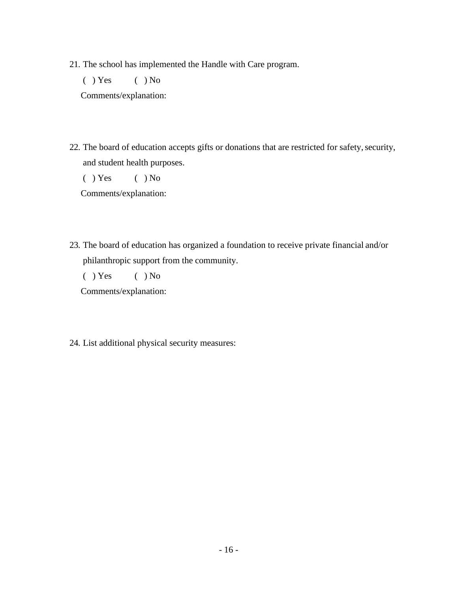21. The school has implemented the Handle with Care program.

 $( )$  Yes  $( )$  No

Comments/explanation:

22. The board of education accepts gifts or donations that are restricted for safety, security, and student health purposes.

 $( )$  Yes  $( )$  No

Comments/explanation:

23. The board of education has organized a foundation to receive private financial and/or philanthropic support from the community.

 $( )$  Yes  $( )$  No

Comments/explanation:

24. List additional physical security measures: